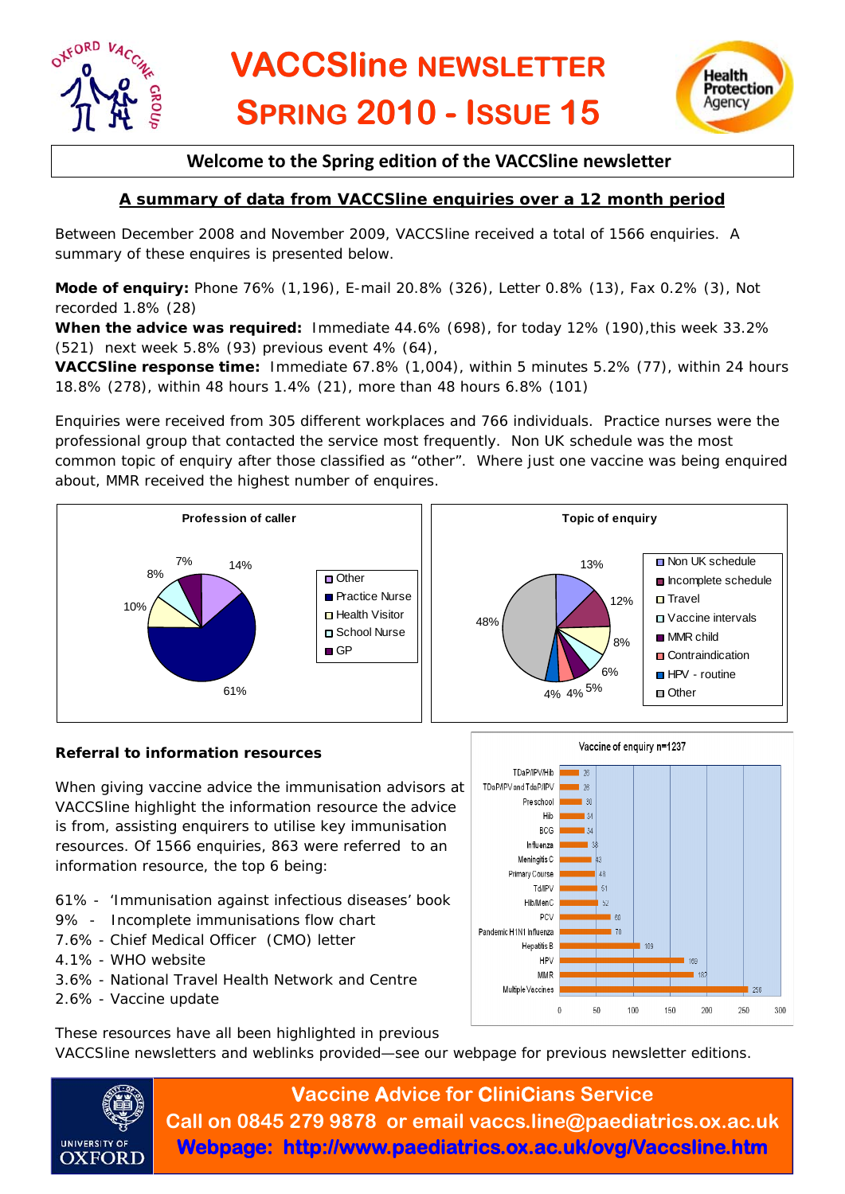



## **Welcome to the Spring edition of the VACCSline newsletter**

## **A summary of data from VACCSline enquiries over a 12 month period**

Between December 2008 and November 2009, VACCSline received a total of 1566 enquiries. A summary of these enquires is presented below.

**Mode of enquiry:** Phone 76% (1,196), E-mail 20.8% (326), Letter 0.8% (13), Fax 0.2% (3), Not recorded 1.8% (28)

**When the advice was required:** Immediate 44.6% (698), for today 12% (190),this week 33.2% (521) next week 5.8% (93) previous event 4% (64),

**VACCSline response time:** Immediate 67.8% (1,004), within 5 minutes 5.2% (77), within 24 hours 18.8% (278), within 48 hours 1.4% (21), more than 48 hours 6.8% (101)

Enquiries were received from 305 different workplaces and 766 individuals. Practice nurses were the professional group that contacted the service most frequently. Non UK schedule was the most common topic of enquiry after those classified as "other". Where just one vaccine was being enquired about, MMR received the highest number of enquires.



#### **Referral to information resources**

When giving vaccine advice the immunisation advisors at VACCSline highlight the information resource the advice is from, assisting enquirers to utilise key immunisation resources. Of 1566 enquiries, 863 were referred to an information resource, the top 6 being:

- 61% '*Immunisation against infectious diseases'* book
- 9% Incomplete immunisations flow chart
- 7.6% Chief Medical Officer (CMO) letter
- 4.1% WHO website
- 3.6% National Travel Health Network and Centre
- 2.6% Vaccine update



These resources have all been highlighted in previous

VACCSline newsletters and weblinks provided—see our webpage for previous newsletter editions.



**Vaccine Advice for CliniCians Service Call on 0845 279 9878 or email vaccs.line@paediatrics.ox.ac.uk Webpage: http://www.paediatrics.ox.ac.uk/ovg/Vaccsline.htm**